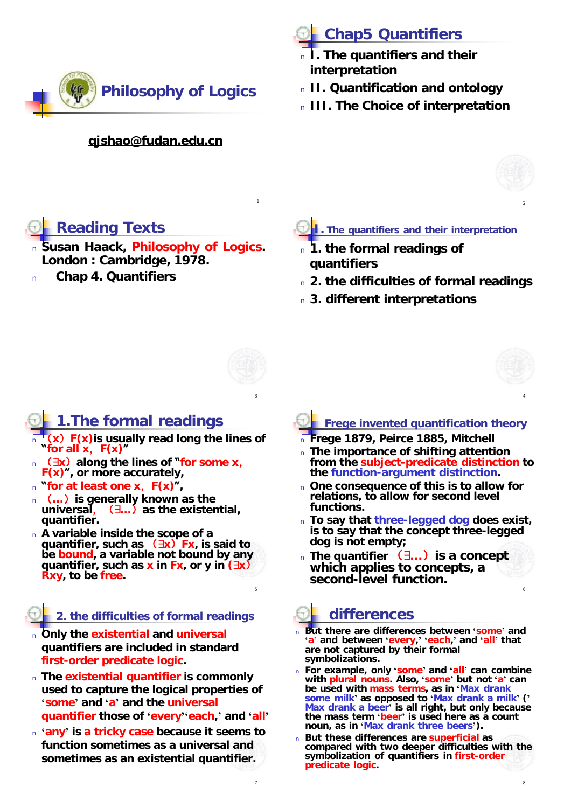

#### **[qjshao@fudan.edu.cn](mailto:qjshao@fudan.edu.cn)**

# **Chap5 Quantifiers**

- <sup>n</sup> **I. The quantifiers and their interpretation**
- <sup>n</sup> **II. Quantification and ontology**
- <sup>n</sup> **III. The Choice of interpretation**



2

# **Reading Texts**

- <sup>n</sup> **Susan Haack,** *Philosophy of Logics***. London : Cambridge, 1978.**
- <sup>n</sup> **Chap 4. Quantifiers**

### **I. The quantifiers and their interpretation**

- <sup>n</sup> **1. the formal readings of quantifiers**
- <sup>n</sup> **2. the difficulties of formal readings**
- <sup>n</sup> **3. different interpretations**



5

7

1

### **1.The formal readings**

- <sup>n</sup> (**x**)**F(x)is usually read long the lines of "for all x**,**F(x)"**
- <sup>n</sup> ( **x**)**along the lines of "for some x**, **F(x)", or more accurately,**
- <sup>n</sup> **"for at least one x**,**F(x)",**
- <sup>n</sup> (**…**)**is generally known as the universal**,( **…**)**as the existential, quantifier.**
- <sup>n</sup> **A variable inside the scope of a quantifier, such as** ( **x**)**Fx, is said to be bound, a variable not bound by any quantifier, such as x in Fx, or y in ( x**) **Rxy, to be free.**

### **2. the difficulties of formal readings**

- <sup>n</sup> **Only the existential and universal quantifiers are included in standard first-order predicate logic.**
- <sup>n</sup> **The existential quantifier is commonly used to capture the logical properties of 'some' and 'a' and the universal quantifier those of 'every''each,' and 'all'**
- <sup>n</sup> **'any' is a tricky case because it seems to function sometimes as a universal and sometimes as an existential quantifier.**

### **Frege invented quantification theory**

<sup>n</sup> **Frege 1879, Peirce 1885, Mitchell**

 $\frac{3}{4}$ 

- <sup>n</sup> **The importance of shifting attention from the subject-predicate distinction to the function-argument distinction.**
- <sup>n</sup> **One consequence of this is to allow for relations, to allow for second level functions.**
- <sup>n</sup> **To say that three-legged dog does exist, is to say that the concept three-legged dog is not empty;**
- <sup>n</sup> **The quantifier** ( **…**)**is a concept which applies to concepts, a second-level function.**

# **differences**

- <sup>n</sup> **But there are differences between 'some' and 'a' and between 'every,' 'each,' and 'all' that are not captured by their formal symbolizations.**
- <sup>n</sup> **For example, only 'some' and 'all' can combine with plural nouns. Also, 'some' but not 'a' can be used with mass terms, as in 'Max drank some milk' as opposed to 'Max drank a milk' (' Max drank a beer' is all right, but only because the mass term 'beer' is used here as a count noun, as in 'Max drank three beers').**
- <sup>n</sup> **But these differences are superficial as compared with two deeper difficulties with the symbolization of quantifiers in first-order predicate logic.**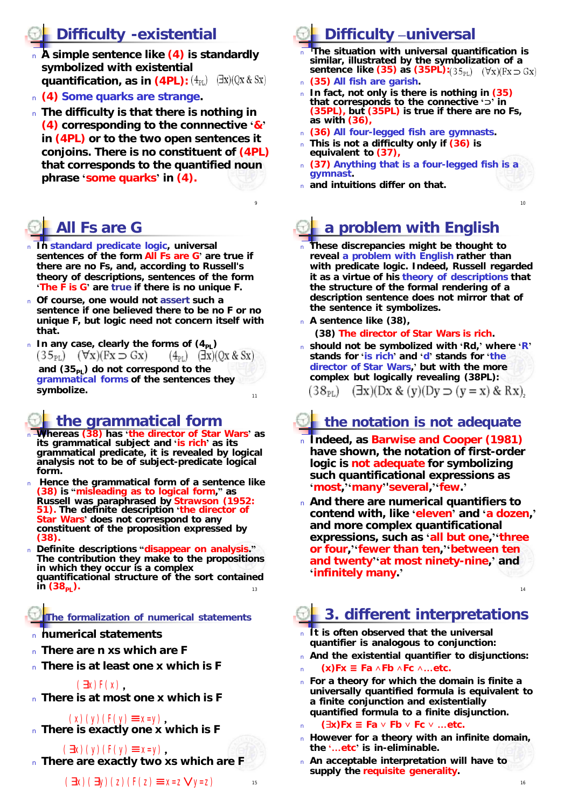# **Difficulty -existential**

- <sup>n</sup> **A simple sentence like (4) is standardly symbolized with existential quantification, as in**  $(4PL):(4_{PL})$  $(\exists x)(Qx \& Sx)$
- <sup>n</sup> **(4) Some quarks are strange.**
- <sup>n</sup> **The difficulty is that there is nothing in (4) corresponding to the connnective '&' in (4PL) or to the two open sentences it conjoins. There is no constituent of (4PL) that corresponds to the quantified noun phrase 'some quarks' in (4).**

9

# **All Fs are G**

- <sup>n</sup> **In standard predicate logic, universal sentences of the form All Fs are G' are true if there are no Fs, and, according to Russell's theory of descriptions, sentences of the form 'The F is G' are true if there is no unique F.**
- <sup>n</sup> **Of course, one would not assert such a sentence if one believed there to be no F or no unique F, but logic need not concern itself with that.**
- $n$  In any case, clearly the forms of  $(4_{p_1})$  $(35_{PL})$   $(\forall x)(Fx \Rightarrow Gx)$  $(\exists x)(\begin{array}{c} 0x \& Sx) \end{array})$  $(4_{PL})$ **and (35PL) do not correspond to the grammatical forms of the sentences they symbolize.**  11

### **the grammatical form**

- <sup>n</sup> **Whereas (38) has 'the director of Star Wars' as its grammatical subject and 'is rich' as its grammatical predicate, it is revealed by logical analysis not to be of subject-predicate logical form.**
- <sup>n</sup> **Hence the grammatical form of a sentence like (38) is "misleading as to logical form," as Russell was paraphrased by Strawson (1952: 51). The definite description 'the director of Star Wars' does not correspond to any constituent of the proposition expressed by (38).**
- 13 <sup>n</sup> **Definite descriptions "disappear on analysis." The contribution they make to the propositions in which they occur is a complex quantificational structure of the sort contained in**  $(38_{\rm pl})$ .

### **The formalization of numerical statements**

- <sup>n</sup> **numerical statements**
- <sup>n</sup> **There are n xs which are F**
- <sup>n</sup> **There is at least one x which is F**
	- $(Sx)F(x)$ .
- <sup>n</sup> **There is at most one x which is F**
- <sup>n</sup> **There is exactly one x which is F**  $(x)(y)(F(y) \equiv x=y)$

<sup>n</sup> **There are exactly two xs which are F**  $(\$\mathbf{x})(\mathbf{y})(\mathbf{F}(\mathbf{y})\equiv \mathbf{x}=\mathbf{y})$ ,

**Difficulty –universal** 

- <sup>n</sup> **The situation with universal quantification is similar, illustrated by the symbolization of a sentence like (35) as (35PL):**
- <sup>n</sup> **(35) All fish are garish.**
- <sup>n</sup> **In fact, not only is there is nothing in (35) that corresponds to the connective ' ' in (35PL), but (35PL) is true if there are no Fs, as with (36),**
- <sup>n</sup> **(36) All four-legged fish are gymnasts.**
- <sup>n</sup> **This is not a difficulty only if (36) is equivalent to (37),**
- <sup>n</sup> **(37) Anything that is a four-legged fish is a gymnast.**
- <sup>n</sup> **and intuitions differ on that.**

# **a problem with English**

- <sup>n</sup> **These discrepancies might be thought to reveal a problem with English rather than with predicate logic. Indeed, Russell regarded it as a virtue of his theory of descriptions that the structure of the formal rendering of a description sentence does not mirror that of the sentence it symbolizes.**
- <sup>n</sup> **A sentence like (38),**
	- **(38) The director of** *Star Wars* **is rich.**
- <sup>n</sup> **should not be symbolized with 'Rd,' where 'R' stands for 'is rich' and 'd' stands for 'the director of** *Star Wars***,' but with the more complex but logically revealing (38PL):**  $(\exists x)(\exists x \& (y)(\exists y \Rightarrow (y = x) \& Rx))$  $(38_{\rm PL})$

# **the notation is not adequate**

- <sup>n</sup> **Indeed, as Barwise and Cooper (1981) have shown, the notation of first-order logic is not adequate for symbolizing such quantificational expressions as 'most,''many''several,''few.'**
- <sup>n</sup> **And there are numerical quantifiers to contend with, like 'eleven' and 'a dozen,' and more complex quantificational expressions, such as 'all but one,''three or four,''fewer than ten,''between ten and twenty''at most ninety-nine,' and 'infinitely many.'**

# **3. different interpretations**

- <sup>n</sup> **It is often observed that the universal quantifier is analogous to conjunction:**
- <sup>n</sup> **And the existential quantifier to disjunctions:**
- <sup>n</sup> **(x)Fx ≡ Fa ∧Fb ∧Fc ∧…etc.**
- <sup>n</sup> **For a theory for which the domain is finite a universally quantified formula is equivalent to a finite conjunction and existentially quantified formula to a finite disjunction.**
- <sup>n</sup> **( x)Fx ≡ Fa ∨ Fb ∨ Fc ∨ …etc.**
- <sup>n</sup> **However for a theory with an infinite domain, the '…etc' is in-eliminable.**
- <sup>n</sup> **An acceptable interpretation will have to supply the requisite generality.**

15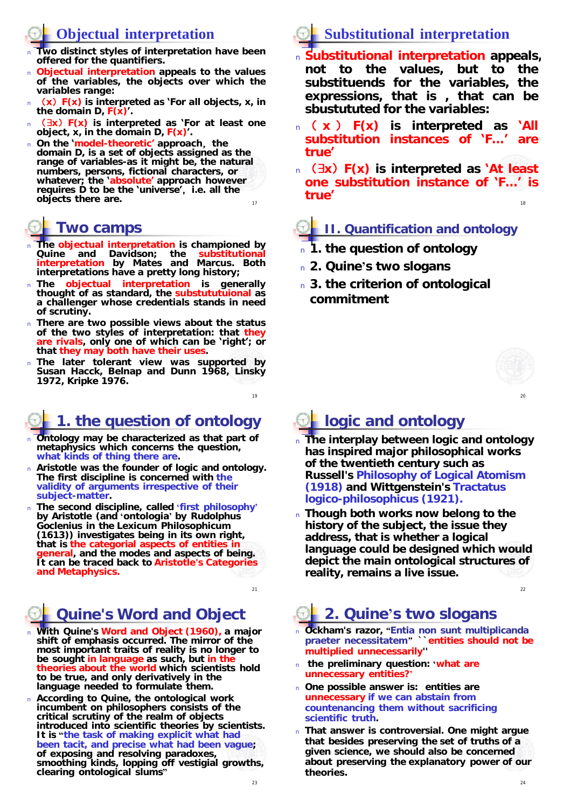## **Objectual interpretation**

- <sup>n</sup> **Two distinct styles of interpretation have been offered for the quantifiers.**
- <sup>n</sup> **Objectual interpretation appeals to the values of the variables, the objects over which the variables range:**
- <sup>n</sup> (**x**)**F(x) is interpreted as 'For all objects, x, in the domain D, F(x)'.**
- <sup>n</sup> ( **x**)**F(x) is interpreted as 'For at least one object, x, in the domain D, F(x)'.**
- 17 <sup>n</sup> **On the 'model-theoretic' approach**,**the domain D, is a set of objects assigned as the range of variables-as it might be, the natural numbers, persons, fictional characters, or whatever; the 'absolute' approach however requires D to be the 'universe'**,**i.e. all the objects there are.** 18 **are 18 are 18 are 18 are 18 are 18 are 18 are 18 are 18 are 18 are 18 are 18 are 18 are 18 are 18 are 18 are 18 are 18 are 18 are 18 are 18 are 18 are 18 are 18 are 18 are 18 are 18 are 18 are 18 a**

## **Two camps**

- <sup>n</sup> **The objectual interpretation is championed by Quine and Davidson; the substitutional interpretation by Mates and Marcus. Both interpretations have a pretty long history;**
- <sup>n</sup> **The objectual interpretation is generally thought of as standard, the substututuional as a challenger whose credentials stands in need of scrutiny.**
- <sup>n</sup> **There are two possible views about the status of the two styles of interpretation: that they are rivals, only one of which can be 'right'; or that they may both have their uses.**
- <sup>n</sup> **The later tolerant view was supported by Susan Hacck, Belnap and Dunn 1968, Linsky 1972, Kripke 1976.**

# **1. the question of ontology**

- <sup>n</sup> **Ontology may be characterized as that part of metaphysics which concerns the question, what kinds of thing there are.**
- <sup>n</sup> **Aristotle was the founder of logic and ontology. The first discipline is concerned with the validity of arguments irrespective of their subject-matter.**
- <sup>n</sup> **The second discipline, called 'first philosophy' by Aristotle (and 'ontologia' by Rudolphus Goclenius in the** *Lexicum Philosophicum* **(1613)) investigates being in its own right, that is the categorial aspects of entities in general, and the modes and aspects of being. It can be traced back to Aristotle's** *Categories* **and** *Metaphysics***.**

# **Quine's** *Word and Object*

- <sup>n</sup> **With Quine's** *Word and Object* **(1960), a major shift of emphasis occurred. The mirror of the most important traits of reality is no longer to be sought in** *language* **as such, but in the**  *theories* **about the world which scientists hold to be true, and only derivatively in the language needed to formulate them.**
- <sup>n</sup> **According to Quine, the ontological work incumbent on philosophers consists of the critical scrutiny of the realm of objects introduced into scientific theories by scientists. It is "the task of making explicit what had been tacit, and precise what had been vague; of exposing and resolving paradoxes, smoothing kinds, lopping off vestigial growths, clearing ontological slums"**

# **Substitutional interpretation**

- <sup>n</sup> **Substitutional interpretation appeals, not to the values, but to the substituends for the variables, the expressions, that is , that can be sbustututed for the variables:**
- <sup>n</sup> ( **x** ) **F(x) is interpreted as 'All substitution instances of 'F…' are true'**
- <sup>n</sup> ( **x**)**F(x) is interpreted as 'At least one substitution instance of 'F…' is true'**

### **II. Quantification and ontology**

- <sup>n</sup> **1. the question of ontology**
- <sup>n</sup> **2. Quine's two slogans**
- <sup>n</sup> **3. the criterion of ontological commitment**



20

# **logic and ontology**

- <sup>n</sup> **The interplay between logic and ontology has inspired major philosophical works of the twentieth century such as Russell's** *Philosophy of Logical Atomism* **(1918) and Wittgenstein's** *Tractatus logico-philosophicus* **(1921).**
- <sup>n</sup> **Though both works now belong to the history of the subject, the issue they address, that is whether a logical language could be designed which would depict the main ontological structures of reality, remains a live issue.**

22

# **2. Quine's two slogans**

- <sup>n</sup> **Ockham's razor,** *"Entia non sunt multiplicanda praeter necessitatem"* **``entities should not be multiplied unnecessarily''**
- <sup>n</sup> **the preliminary question: 'what are unnecessary entities?'**
- <sup>n</sup> **One possible answer is: entities are unnecessary if we can abstain from countenancing them without sacrificing**  *scientific truth***.**
- <sup>n</sup> **That answer is controversial. One might argue that besides preserving the** *set of truths* **of a given science, we should also be concerned about preserving the** *explanatory power* **of our theories.**

19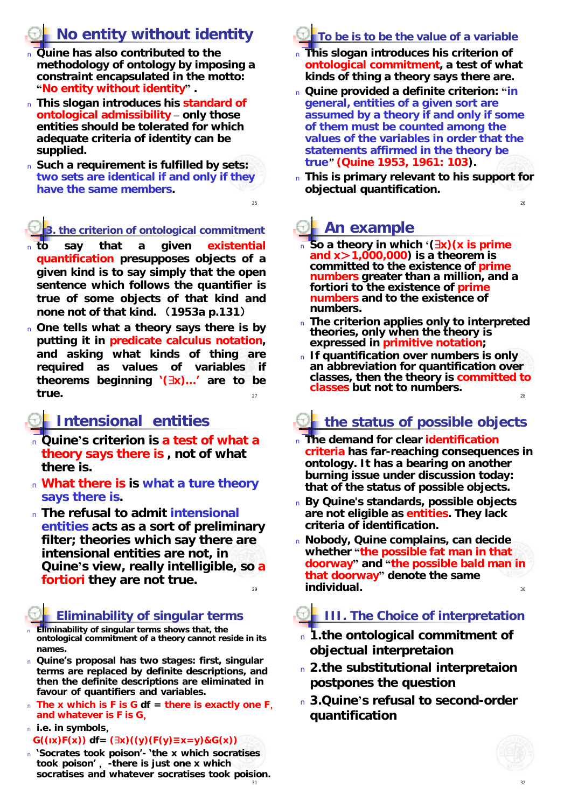# **No entity without identity**

- <sup>n</sup> **Quine has also contributed to the**  *methodology of ontology* **by imposing a constraint encapsulated in the motto: "No entity without identity" .**
- <sup>n</sup> **This slogan introduces his standard of ontological admissibility – only those entities should be tolerated for which adequate criteria of identity can be supplied.**
- <sup>n</sup> **Such a requirement is fulfilled by** *sets***: two sets are identical if and only if they have the same members.**

### **3. the criterion of ontological commitment**

- <sup>n</sup> **to say that a given existential quantification presupposes objects of a given kind is to say simply that the open sentence which follows the quantifier is true of some objects of that kind and none not of that kind.** (**1953a p.131**)
- 27 <sup>n</sup> **One tells what a theory says there is by putting it in predicate calculus notation, and asking what kinds of thing are required as values of variables if theorems beginning '( x)…' are to be** true.  $\frac{27}{27}$  classes but not to numbers.

### **Intensional entities**

- <sup>n</sup> **Quine's criterion is a test of what a theory says there is , not of what there is.**
- <sup>n</sup> **What there is is what a ture theory says there is.**
- 29 <sup>n</sup> **The refusal to admit intensional entities acts as a sort of preliminary filter; theories which say there are intensional entities are not, in Quine's view, really intelligible, so a fortiori they are not true.**

### **Eliminability of singular terms**

- <sup>n</sup> **Eliminability of singular terms shows that, the ontological commitment of a theory cannot reside in its names.**
- <sup>n</sup> **Quine's proposal has two stages: first, singular terms are replaced by definite descriptions, and then the definite descriptions are eliminated in favour of quantifiers and variables.**
- <sup>n</sup> **The x which is F is G df = there is exactly one F**, **and whatever is F is G**,
- <sup>n</sup> **i.e. in symbols**,
- **G((ιx)F(x)) df= ( x)((y)(F(y)≡x=y)&G(x))**
- <sup>n</sup> **'Socrates took poison'- 'the x which socratises took poison'** ,**-there is just one x which socratises and whatever socratises took poision.**

### **To be is to be the value of a variable**

- <sup>n</sup> **This slogan introduces his criterion of ontological commitment, a test of what kinds of thing a theory says there are.**
- <sup>n</sup> **Quine provided a definite criterion: "in general,** *entities of a given sort are assumed by a theory if and only if some of them must be counted among the values of the variables in order that the statements affirmed in the theory be true"* **(Quine 1953, 1961: 103).**
- <sup>n</sup> **This is primary relevant to his support for objectual quantification.**

26

# **An example**

25

- <sup>n</sup> **So a theory in which '( x)(x is prime and x**>**1,000,000) is a theorem is committed to the existence of prime numbers greater than a million, and a fortiori to the existence of prime numbers and to the existence of numbers.**
- <sup>n</sup> **The criterion applies only to interpreted theories, only when the theory is expressed in primitive notation;**
- <sup>n</sup> **If quantification over numbers is only an abbreviation for quantification over classes, then the theory is committed to classes but not to numbers.**

# **the status of possible objects**

- <sup>n</sup> **The demand for clear** *identification criteria* **has far-reaching consequences in ontology. It has a bearing on another burning issue under discussion today: that of the status of possible objects.**
- <sup>n</sup> **By Quine's standards, possible objects are not eligible as** *entities***. They lack criteria of identification.**
- 30 <sup>n</sup> **Nobody, Quine complains, can decide whether "the possible fat man in that doorway" and "the possible bald man in that doorway" denote the same individual.**

### **III. The Choice of interpretation**

- <sup>n</sup> **1.the ontological commitment of objectual interpretaion**
- <sup>n</sup> **2.the substitutional interpretaion postpones the question**
- <sup>n</sup> **3.Quine's refusal to second-order quantification**